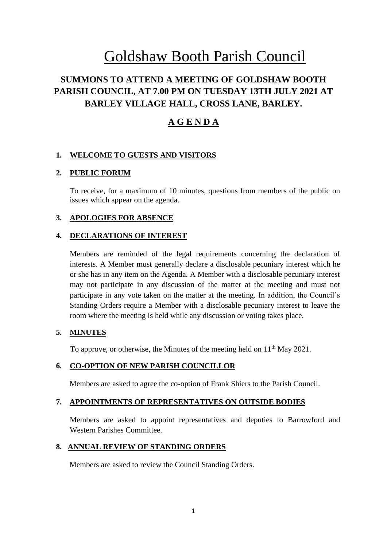# Goldshaw Booth Parish Council

# **SUMMONS TO ATTEND A MEETING OF GOLDSHAW BOOTH PARISH COUNCIL, AT 7.00 PM ON TUESDAY 13TH JULY 2021 AT BARLEY VILLAGE HALL, CROSS LANE, BARLEY.**

# **A G E N D A**

# **1. WELCOME TO GUESTS AND VISITORS**

# **2. PUBLIC FORUM**

To receive, for a maximum of 10 minutes, questions from members of the public on issues which appear on the agenda.

# **3. APOLOGIES FOR ABSENCE**

## **4. DECLARATIONS OF INTEREST**

Members are reminded of the legal requirements concerning the declaration of interests. A Member must generally declare a disclosable pecuniary interest which he or she has in any item on the Agenda. A Member with a disclosable pecuniary interest may not participate in any discussion of the matter at the meeting and must not participate in any vote taken on the matter at the meeting. In addition, the Council's Standing Orders require a Member with a disclosable pecuniary interest to leave the room where the meeting is held while any discussion or voting takes place.

## **5. MINUTES**

To approve, or otherwise, the Minutes of the meeting held on  $11<sup>th</sup>$  May 2021.

## **6. CO-OPTION OF NEW PARISH COUNCILLOR**

Members are asked to agree the co-option of Frank Shiers to the Parish Council.

## **7. APPOINTMENTS OF REPRESENTATIVES ON OUTSIDE BODIES**

Members are asked to appoint representatives and deputies to Barrowford and Western Parishes Committee.

## **8. ANNUAL REVIEW OF STANDING ORDERS**

Members are asked to review the Council Standing Orders.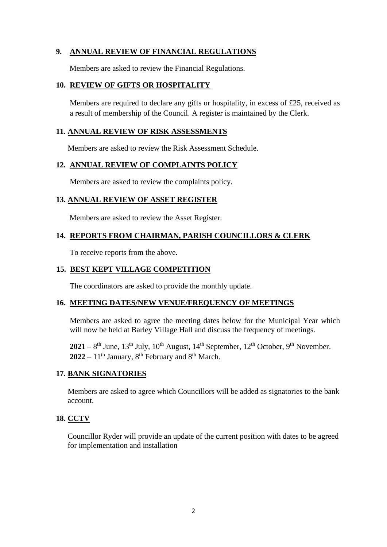# **9. ANNUAL REVIEW OF FINANCIAL REGULATIONS**

Members are asked to review the Financial Regulations.

#### **10. REVIEW OF GIFTS OR HOSPITALITY**

Members are required to declare any gifts or hospitality, in excess of £25, received as a result of membership of the Council. A register is maintained by the Clerk.

#### **11. ANNUAL REVIEW OF RISK ASSESSMENTS**

Members are asked to review the Risk Assessment Schedule.

#### **12. ANNUAL REVIEW OF COMPLAINTS POLICY**

Members are asked to review the complaints policy.

#### **13. ANNUAL REVIEW OF ASSET REGISTER**

Members are asked to review the Asset Register.

#### **14. REPORTS FROM CHAIRMAN, PARISH COUNCILLORS & CLERK**

To receive reports from the above.

#### **15. BEST KEPT VILLAGE COMPETITION**

The coordinators are asked to provide the monthly update.

#### **16. MEETING DATES/NEW VENUE/FREQUENCY OF MEETINGS**

Members are asked to agree the meeting dates below for the Municipal Year which will now be held at Barley Village Hall and discuss the frequency of meetings.

 $2021 - 8$ <sup>th</sup> June, 13<sup>th</sup> July, 10<sup>th</sup> August, 14<sup>th</sup> September, 12<sup>th</sup> October, 9<sup>th</sup> November.  $2022 - 11$ <sup>th</sup> January,  $8$ <sup>th</sup> February and  $8$ <sup>th</sup> March.

#### **17. BANK SIGNATORIES**

Members are asked to agree which Councillors will be added as signatories to the bank account.

## **18. CCTV**

Councillor Ryder will provide an update of the current position with dates to be agreed for implementation and installation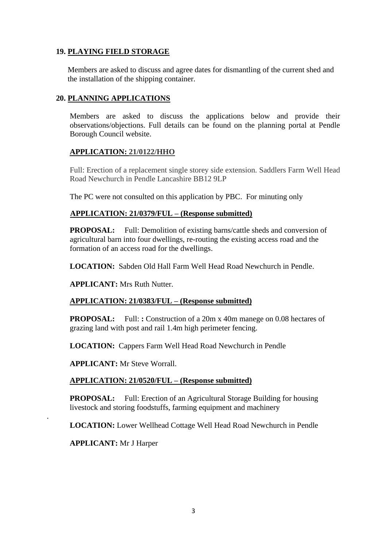# **19. PLAYING FIELD STORAGE**

Members are asked to discuss and agree dates for dismantling of the current shed and the installation of the shipping container.

# **20. PLANNING APPLICATIONS**

Members are asked to discuss the applications below and provide their observations/objections. Full details can be found on the planning portal at Pendle Borough Council website.

## **APPLICATION: 21/0122/HHO**

Full: Erection of a replacement single storey side extension. Saddlers Farm Well Head Road Newchurch in Pendle Lancashire BB12 9LP

The PC were not consulted on this application by PBC. For minuting only

## **APPLICATION: 21/0379/FUL – (Response submitted)**

**PROPOSAL:** Full: Demolition of existing barns/cattle sheds and conversion of agricultural barn into four dwellings, re-routing the existing access road and the formation of an access road for the dwellings.

**LOCATION:** Sabden Old Hall Farm Well Head Road Newchurch in Pendle.

**APPLICANT:** Mrs Ruth Nutter.

## **APPLICATION: 21/0383/FUL – (Response submitted)**

**PROPOSAL:** Full: **:** Construction of a 20m x 40m manege on 0.08 hectares of grazing land with post and rail 1.4m high perimeter fencing.

**LOCATION:** Cappers Farm Well Head Road Newchurch in Pendle

**APPLICANT:** Mr Steve Worrall.

## **APPLICATION: 21/0520/FUL – (Response submitted)**

**PROPOSAL:** Full: Erection of an Agricultural Storage Building for housing livestock and storing foodstuffs, farming equipment and machinery

**LOCATION:** Lower Wellhead Cottage Well Head Road Newchurch in Pendle

**APPLICANT:** Mr J Harper

.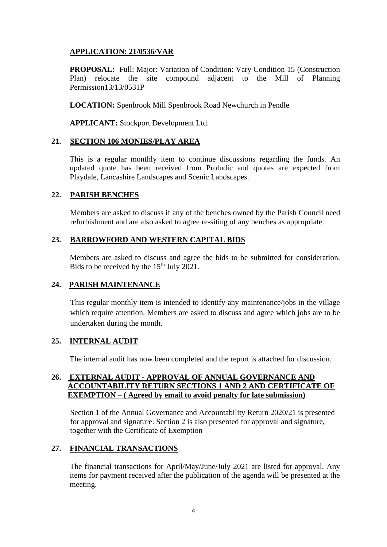# **APPLICATION: 21/0536/VAR**

PROPOSAL: Full: Major: Variation of Condition: Vary Condition 15 (Construction Plan) relocate the site compound adjacent to the Mill of Planning Permission13/13/0531P

**LOCATION:** Spenbrook Mill Spenbrook Road Newchurch in Pendle

**APPLICANT:** Stockport Development Ltd.

#### **21. SECTION 106 MONIES/PLAY AREA**

This is a regular monthly item to continue discussions regarding the funds. An updated quote has been received from Proludic and quotes are expected from Playdale, Lancashire Landscapes and Scenic Landscapes.

## **22. PARISH BENCHES**

Members are asked to discuss if any of the benches owned by the Parish Council need refurbishment and are also asked to agree re-siting of any benches as appropriate.

#### **23. BARROWFORD AND WESTERN CAPITAL BIDS**

Members are asked to discuss and agree the bids to be submitted for consideration. Bids to be received by the  $15<sup>th</sup>$  July 2021.

## **24. PARISH MAINTENANCE**

This regular monthly item is intended to identify any maintenance/jobs in the village which require attention. Members are asked to discuss and agree which jobs are to be undertaken during the month.

#### **25. INTERNAL AUDIT**

The internal audit has now been completed and the report is attached for discussion.

#### **26. EXTERNAL AUDIT - APPROVAL OF ANNUAL GOVERNANCE AND ACCOUNTABILITY RETURN SECTIONS 1 AND 2 AND CERTIFICATE OF EXEMPTION** – (Agreed by email to avoid penalty for late submission)

Section 1 of the Annual Governance and Accountability Return 2020/21 is presented for approval and signature. Section 2 is also presented for approval and signature, together with the Certificate of Exemption

## **27. FINANCIAL TRANSACTIONS**

The financial transactions for April/May/June/July 2021 are listed for approval. Any items for payment received after the publication of the agenda will be presented at the meeting.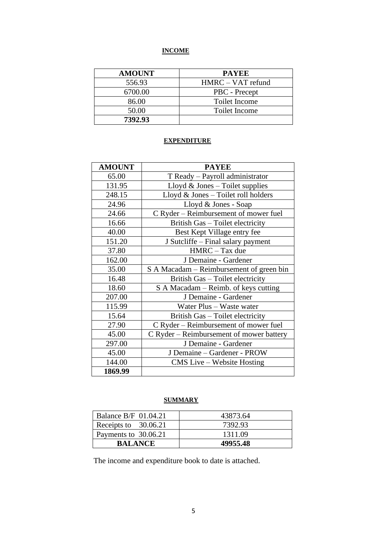# **INCOME**

| <b>AMOUNT</b> | <b>PAYEE</b>         |
|---------------|----------------------|
| 556.93        | HMRC – VAT refund    |
| 6700.00       | PBC - Precept        |
| 86.00         | <b>Toilet Income</b> |
| 50.00         | <b>Toilet Income</b> |
| 7392.93       |                      |

# **EXPENDITURE**

| <b>AMOUNT</b> | <b>PAYEE</b>                             |
|---------------|------------------------------------------|
| 65.00         | T Ready - Payroll administrator          |
| 131.95        | Lloyd $&$ Jones – Toilet supplies        |
| 248.15        | Lloyd $&$ Jones – Toilet roll holders    |
| 24.96         | Lloyd & Jones - Soap                     |
| 24.66         | C Ryder – Reimbursement of mower fuel    |
| 16.66         | British Gas - Toilet electricity         |
| 40.00         | Best Kept Village entry fee              |
| 151.20        | J Sutcliffe – Final salary payment       |
| 37.80         | HMRC - Tax due                           |
| 162.00        | J Demaine - Gardener                     |
| 35.00         | S A Macadam – Reimbursement of green bin |
| 16.48         | British Gas - Toilet electricity         |
| 18.60         | S A Macadam – Reimb. of keys cutting     |
| 207.00        | J Demaine - Gardener                     |
| 115.99        | Water Plus - Waste water                 |
| 15.64         | British Gas - Toilet electricity         |
| 27.90         | C Ryder – Reimbursement of mower fuel    |
| 45.00         | C Ryder – Reimbursement of mower battery |
| 297.00        | J Demaine - Gardener                     |
| 45.00         | J Demaine - Gardener - PROW              |
| 144.00        | CMS Live – Website Hosting               |
| 1869.99       |                                          |

# **SUMMARY**

| <b>Balance B/F 01.04.21</b> | 43873.64 |
|-----------------------------|----------|
| Receipts to 30.06.21        | 7392.93  |
| Payments to 30.06.21        | 1311.09  |
| <b>BALANCE</b>              | 49955.48 |

The income and expenditure book to date is attached.